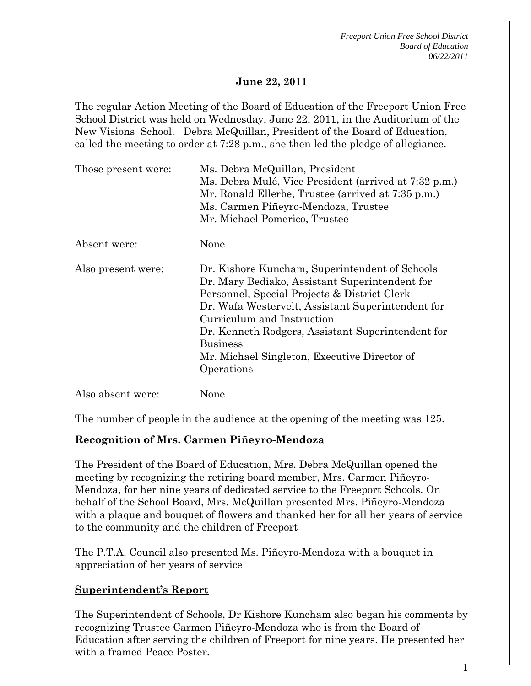### **June 22, 2011**

The regular Action Meeting of the Board of Education of the Freeport Union Free School District was held on Wednesday, June 22, 2011, in the Auditorium of the New Visions School. Debra McQuillan, President of the Board of Education, called the meeting to order at 7:28 p.m., she then led the pledge of allegiance.

| Those present were: | Ms. Debra McQuillan, President<br>Ms. Debra Mulé, Vice President (arrived at 7:32 p.m.)<br>Mr. Ronald Ellerbe, Trustee (arrived at 7:35 p.m.)<br>Ms. Carmen Piñeyro-Mendoza, Trustee<br>Mr. Michael Pomerico, Trustee                                                                                                                                                     |
|---------------------|---------------------------------------------------------------------------------------------------------------------------------------------------------------------------------------------------------------------------------------------------------------------------------------------------------------------------------------------------------------------------|
| Absent were:        | None                                                                                                                                                                                                                                                                                                                                                                      |
| Also present were:  | Dr. Kishore Kuncham, Superintendent of Schools<br>Dr. Mary Bediako, Assistant Superintendent for<br>Personnel, Special Projects & District Clerk<br>Dr. Wafa Westervelt, Assistant Superintendent for<br>Curriculum and Instruction<br>Dr. Kenneth Rodgers, Assistant Superintendent for<br><b>Business</b><br>Mr. Michael Singleton, Executive Director of<br>Operations |
| Also absent were:   | None                                                                                                                                                                                                                                                                                                                                                                      |

The number of people in the audience at the opening of the meeting was 125.

### **Recognition of Mrs. Carmen Piñeyro-Mendoza**

The President of the Board of Education, Mrs. Debra McQuillan opened the meeting by recognizing the retiring board member, Mrs. Carmen Piñeyro-Mendoza, for her nine years of dedicated service to the Freeport Schools. On behalf of the School Board, Mrs. McQuillan presented Mrs. Piñeyro-Mendoza with a plaque and bouquet of flowers and thanked her for all her years of service to the community and the children of Freeport

The P.T.A. Council also presented Ms. Piñeyro-Mendoza with a bouquet in appreciation of her years of service

### **Superintendent's Report**

The Superintendent of Schools, Dr Kishore Kuncham also began his comments by recognizing Trustee Carmen Piñeyro-Mendoza who is from the Board of Education after serving the children of Freeport for nine years. He presented her with a framed Peace Poster.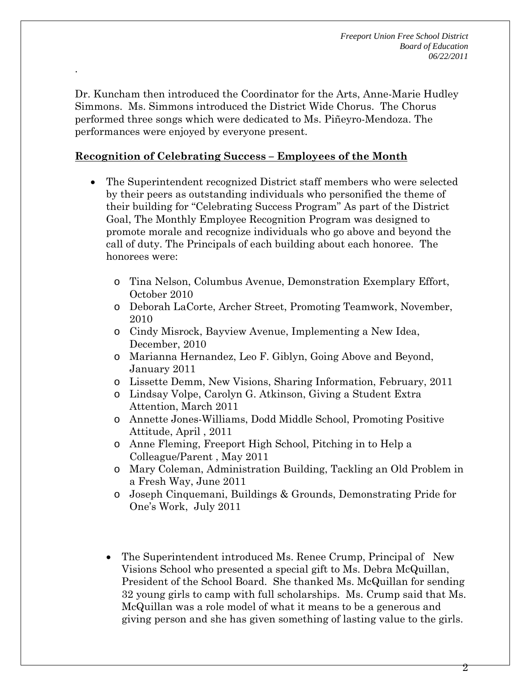Dr. Kuncham then introduced the Coordinator for the Arts, Anne-Marie Hudley Simmons. Ms. Simmons introduced the District Wide Chorus. The Chorus performed three songs which were dedicated to Ms. Piñeyro-Mendoza. The performances were enjoyed by everyone present.

## **Recognition of Celebrating Success – Employees of the Month**

.

- The Superintendent recognized District staff members who were selected by their peers as outstanding individuals who personified the theme of their building for "Celebrating Success Program" As part of the District Goal, The Monthly Employee Recognition Program was designed to promote morale and recognize individuals who go above and beyond the call of duty. The Principals of each building about each honoree. The honorees were:
	- o Tina Nelson, Columbus Avenue, Demonstration Exemplary Effort, October 2010
	- o Deborah LaCorte, Archer Street, Promoting Teamwork, November, 2010
	- o Cindy Misrock, Bayview Avenue, Implementing a New Idea, December, 2010
	- o Marianna Hernandez, Leo F. Giblyn, Going Above and Beyond, January 2011
	- o Lissette Demm, New Visions, Sharing Information, February, 2011
	- o Lindsay Volpe, Carolyn G. Atkinson, Giving a Student Extra Attention, March 2011
	- o Annette Jones-Williams, Dodd Middle School, Promoting Positive Attitude, April , 2011
	- o Anne Fleming, Freeport High School, Pitching in to Help a Colleague/Parent , May 2011
	- o Mary Coleman, Administration Building, Tackling an Old Problem in a Fresh Way, June 2011
	- o Joseph Cinquemani, Buildings & Grounds, Demonstrating Pride for One's Work, July 2011
	- The Superintendent introduced Ms. Renee Crump, Principal of New Visions School who presented a special gift to Ms. Debra McQuillan, President of the School Board. She thanked Ms. McQuillan for sending 32 young girls to camp with full scholarships. Ms. Crump said that Ms. McQuillan was a role model of what it means to be a generous and giving person and she has given something of lasting value to the girls.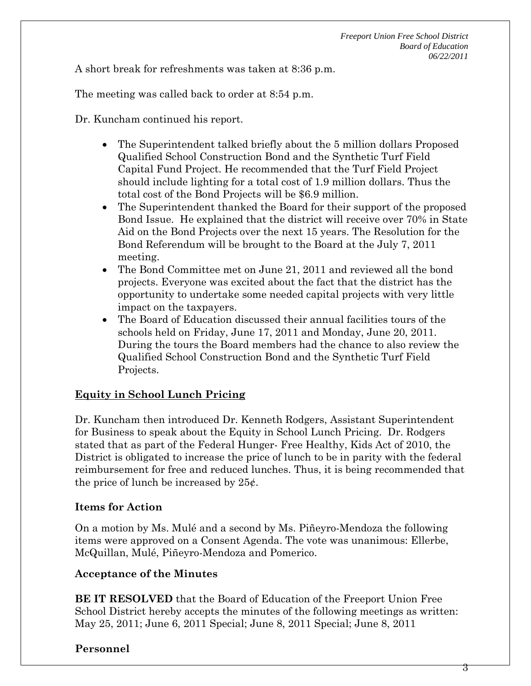A short break for refreshments was taken at 8:36 p.m.

The meeting was called back to order at 8:54 p.m.

Dr. Kuncham continued his report.

- The Superintendent talked briefly about the 5 million dollars Proposed Qualified School Construction Bond and the Synthetic Turf Field Capital Fund Project. He recommended that the Turf Field Project should include lighting for a total cost of 1.9 million dollars. Thus the total cost of the Bond Projects will be \$6.9 million.
- The Superintendent thanked the Board for their support of the proposed Bond Issue. He explained that the district will receive over 70% in State Aid on the Bond Projects over the next 15 years. The Resolution for the Bond Referendum will be brought to the Board at the July 7, 2011 meeting.
- The Bond Committee met on June 21, 2011 and reviewed all the bond projects. Everyone was excited about the fact that the district has the opportunity to undertake some needed capital projects with very little impact on the taxpayers.
- The Board of Education discussed their annual facilities tours of the schools held on Friday, June 17, 2011 and Monday, June 20, 2011. During the tours the Board members had the chance to also review the Qualified School Construction Bond and the Synthetic Turf Field Projects.

### **Equity in School Lunch Pricing**

Dr. Kuncham then introduced Dr. Kenneth Rodgers, Assistant Superintendent for Business to speak about the Equity in School Lunch Pricing. Dr. Rodgers stated that as part of the Federal Hunger- Free Healthy, Kids Act of 2010, the District is obligated to increase the price of lunch to be in parity with the federal reimbursement for free and reduced lunches. Thus, it is being recommended that the price of lunch be increased by  $25¢$ .

### **Items for Action**

On a motion by Ms. Mulé and a second by Ms. Piñeyro-Mendoza the following items were approved on a Consent Agenda. The vote was unanimous: Ellerbe, McQuillan, Mulé, Piñeyro-Mendoza and Pomerico.

### **Acceptance of the Minutes**

**BE IT RESOLVED** that the Board of Education of the Freeport Union Free School District hereby accepts the minutes of the following meetings as written: May 25, 2011; June 6, 2011 Special; June 8, 2011 Special; June 8, 2011

### **Personnel**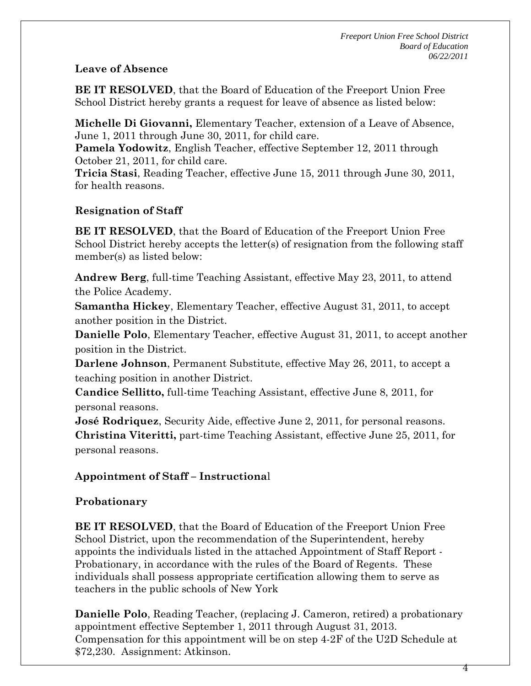### **Leave of Absence**

**BE IT RESOLVED**, that the Board of Education of the Freeport Union Free School District hereby grants a request for leave of absence as listed below:

**Michelle Di Giovanni,** Elementary Teacher, extension of a Leave of Absence, June 1, 2011 through June 30, 2011, for child care.

**Pamela Yodowitz**, English Teacher, effective September 12, 2011 through October 21, 2011, for child care.

**Tricia Stasi**, Reading Teacher, effective June 15, 2011 through June 30, 2011, for health reasons.

## **Resignation of Staff**

**BE IT RESOLVED**, that the Board of Education of the Freeport Union Free School District hereby accepts the letter(s) of resignation from the following staff member(s) as listed below:

**Andrew Berg**, full-time Teaching Assistant, effective May 23, 2011, to attend the Police Academy.

**Samantha Hickey**, Elementary Teacher, effective August 31, 2011, to accept another position in the District.

**Danielle Polo**, Elementary Teacher, effective August 31, 2011, to accept another position in the District.

**Darlene Johnson**, Permanent Substitute, effective May 26, 2011, to accept a teaching position in another District.

**Candice Sellitto,** full-time Teaching Assistant, effective June 8, 2011, for personal reasons.

**José Rodriquez**, Security Aide, effective June 2, 2011, for personal reasons. **Christina Viteritti,** part-time Teaching Assistant, effective June 25, 2011, for personal reasons.

### **Appointment of Staff – Instructiona**l

## **Probationary**

**BE IT RESOLVED**, that the Board of Education of the Freeport Union Free School District, upon the recommendation of the Superintendent, hereby appoints the individuals listed in the attached Appointment of Staff Report - Probationary, in accordance with the rules of the Board of Regents. These individuals shall possess appropriate certification allowing them to serve as teachers in the public schools of New York

**Danielle Polo**, Reading Teacher, (replacing J. Cameron, retired) a probationary appointment effective September 1, 2011 through August 31, 2013. Compensation for this appointment will be on step 4-2F of the U2D Schedule at \$72,230. Assignment: Atkinson.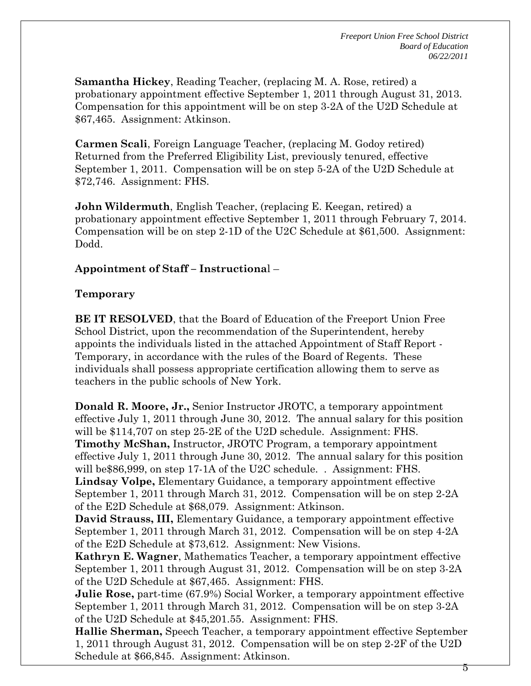**Samantha Hickey**, Reading Teacher, (replacing M. A. Rose, retired) a probationary appointment effective September 1, 2011 through August 31, 2013. Compensation for this appointment will be on step 3-2A of the U2D Schedule at \$67,465. Assignment: Atkinson.

**Carmen Scali**, Foreign Language Teacher, (replacing M. Godoy retired) Returned from the Preferred Eligibility List, previously tenured, effective September 1, 2011. Compensation will be on step 5-2A of the U2D Schedule at \$72,746. Assignment: FHS.

**John Wildermuth**, English Teacher, (replacing E. Keegan, retired) a probationary appointment effective September 1, 2011 through February 7, 2014. Compensation will be on step 2-1D of the U2C Schedule at \$61,500. Assignment: Dodd.

### **Appointment of Staff – Instructiona**l –

### **Temporary**

**BE IT RESOLVED**, that the Board of Education of the Freeport Union Free School District, upon the recommendation of the Superintendent, hereby appoints the individuals listed in the attached Appointment of Staff Report - Temporary, in accordance with the rules of the Board of Regents. These individuals shall possess appropriate certification allowing them to serve as teachers in the public schools of New York.

**Donald R. Moore, Jr.,** Senior Instructor JROTC, a temporary appointment effective July 1, 2011 through June 30, 2012. The annual salary for this position will be \$114,707 on step 25-2E of the U2D schedule. Assignment: FHS. **Timothy McShan,** Instructor, JROTC Program, a temporary appointment effective July 1, 2011 through June 30, 2012. The annual salary for this position will be \$86,999, on step 17-1A of the U2C schedule. . Assignment: FHS. **Lindsay Volpe,** Elementary Guidance, a temporary appointment effective September 1, 2011 through March 31, 2012. Compensation will be on step 2-2A of the E2D Schedule at \$68,079. Assignment: Atkinson. **David Strauss, III,** Elementary Guidance, a temporary appointment effective September 1, 2011 through March 31, 2012. Compensation will be on step 4-2A of the E2D Schedule at \$73,612. Assignment: New Visions.

**Kathryn E. Wagner**, Mathematics Teacher, a temporary appointment effective September 1, 2011 through August 31, 2012. Compensation will be on step 3-2A of the U2D Schedule at \$67,465. Assignment: FHS.

**Julie Rose,** part-time (67.9%) Social Worker, a temporary appointment effective September 1, 2011 through March 31, 2012. Compensation will be on step 3-2A of the U2D Schedule at \$45,201.55. Assignment: FHS.

**Hallie Sherman,** Speech Teacher, a temporary appointment effective September 1, 2011 through August 31, 2012. Compensation will be on step 2-2F of the U2D Schedule at \$66,845. Assignment: Atkinson.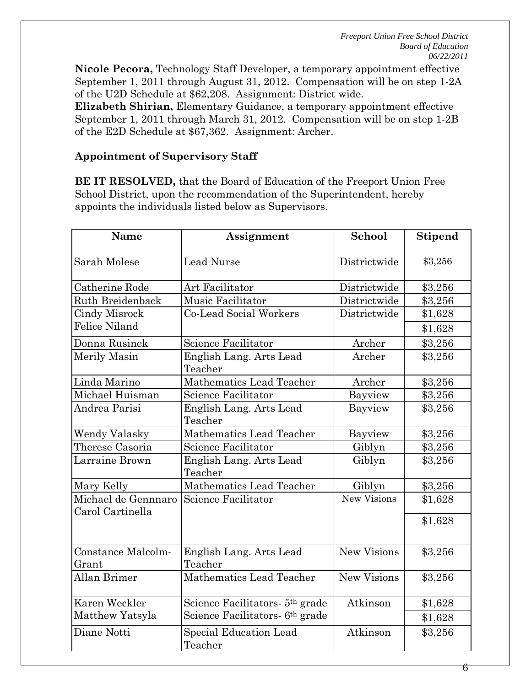**Nicole Pecora,** Technology Staff Developer, a temporary appointment effective September 1, 2011 through August 31, 2012. Compensation will be on step 1-2A of the U2D Schedule at \$62,208. Assignment: District wide.

**Elizabeth Shirian,** Elementary Guidance, a temporary appointment effective September 1, 2011 through March 31, 2012. Compensation will be on step 1-2B of the E2D Schedule at \$67,362. Assignment: Archer.

## **Appointment of Supervisory Staff**

**BE IT RESOLVED,** that the Board of Education of the Freeport Union Free School District, upon the recommendation of the Superintendent, hereby appoints the individuals listed below as Supervisors.

| <b>Name</b>                             | Assignment                                  | School             | <b>Stipend</b> |
|-----------------------------------------|---------------------------------------------|--------------------|----------------|
| <b>Sarah Molese</b>                     | <b>Lead Nurse</b>                           | Districtwide       | \$3,256        |
| Catherine Rode                          | Art Facilitator                             | Districtwide       | \$3,256        |
| Ruth Breidenback                        | Music Facilitator                           | Districtwide       | \$3,256        |
| <b>Cindy Misrock</b>                    | Co-Lead Social Workers                      | Districtwide       | \$1,628        |
| <b>Felice Niland</b>                    |                                             |                    | \$1,628        |
| Donna Rusinek                           | Science Facilitator                         | Archer             | \$3,256        |
| Merily Masin                            | English Lang. Arts Lead                     | Archer             | \$3,256        |
|                                         | Teacher                                     |                    |                |
| Linda Marino                            | Mathematics Lead Teacher                    | Archer             | \$3,256        |
| Michael Huisman                         | Science Facilitator                         | Bayview            | \$3,256        |
| Andrea Parisi                           | English Lang. Arts Lead                     | Bayview            | \$3,256        |
|                                         | Teacher                                     |                    |                |
| Wendy Valasky                           | Mathematics Lead Teacher                    | Bayview            | \$3,256        |
| Therese Casoria                         | <b>Science Facilitator</b>                  | Giblyn             | \$3,256        |
| Larraine Brown                          | English Lang. Arts Lead<br>Teacher          | Giblyn             | \$3,256        |
| Mary Kelly                              | Mathematics Lead Teacher                    | Giblyn             | \$3,256        |
| Michael de Gennnaro<br>Carol Cartinella | Science Facilitator                         | <b>New Visions</b> | \$1,628        |
|                                         |                                             |                    | \$1,628        |
| Constance Malcolm-<br>Grant             | English Lang. Arts Lead<br>Teacher          | New Visions        | \$3,256        |
| <b>Allan Brimer</b>                     | Mathematics Lead Teacher                    | <b>New Visions</b> | \$3,256        |
| Karen Weckler                           | Science Facilitators- 5 <sup>th</sup> grade | Atkinson           | \$1,628        |
| Matthew Yatsyla                         | Science Facilitators 6 <sup>th</sup> grade  |                    | \$1,628        |
| Diane Notti                             | Special Education Lead<br>Teacher           | Atkinson           | \$3,256        |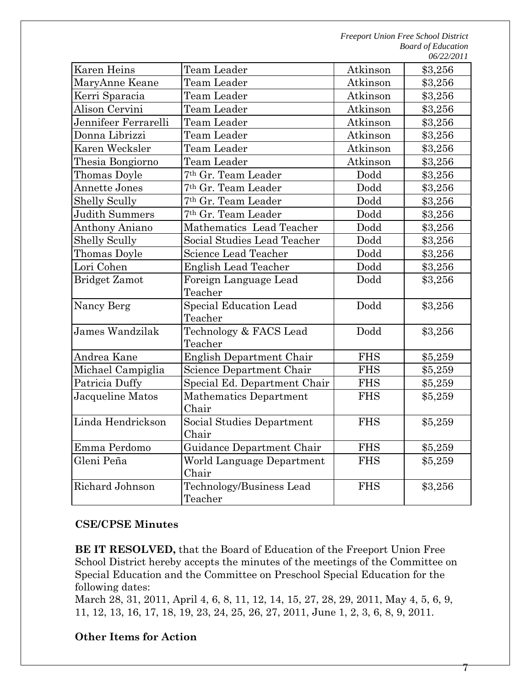*Freeport Union Free School District Board of Education 06/22/2011* 

| Karen Heins           | Team Leader                     | Atkinson   | \$3,256 |
|-----------------------|---------------------------------|------------|---------|
| MaryAnne Keane        | Team Leader                     | Atkinson   | \$3,256 |
| Kerri Sparacia        | Team Leader                     | Atkinson   | \$3,256 |
| Alison Cervini        | Team Leader                     | Atkinson   | \$3,256 |
| Jennifeer Ferrarelli  | Team Leader                     | Atkinson   | \$3,256 |
| Donna Librizzi        | Team Leader                     | Atkinson   | \$3,256 |
| Karen Wecksler        | Team Leader                     | Atkinson   | \$3,256 |
| Thesia Bongiorno      | Team Leader                     | Atkinson   | \$3,256 |
| Thomas Doyle          | 7 <sup>th</sup> Gr. Team Leader | Dodd       | \$3,256 |
| <b>Annette Jones</b>  | 7th Gr. Team Leader             | Dodd       | \$3,256 |
| <b>Shelly Scully</b>  | 7th Gr. Team Leader             | Dodd       | \$3,256 |
| <b>Judith Summers</b> | 7 <sup>th</sup> Gr. Team Leader | Dodd       | \$3,256 |
| Anthony Aniano        | Mathematics Lead Teacher        | Dodd       | \$3,256 |
| <b>Shelly Scully</b>  | Social Studies Lead Teacher     | Dodd       | \$3,256 |
| Thomas Doyle          | Science Lead Teacher            | Dodd       | \$3,256 |
| Lori Cohen            | <b>English Lead Teacher</b>     | Dodd       | \$3,256 |
| <b>Bridget Zamot</b>  | Foreign Language Lead           | Dodd       | \$3,256 |
|                       | Teacher                         |            |         |
| Nancy Berg            | <b>Special Education Lead</b>   | Dodd       | \$3,256 |
|                       | Teacher                         |            |         |
| James Wandzilak       | Technology & FACS Lead          | Dodd       | \$3,256 |
|                       | Teacher                         |            |         |
| Andrea Kane           | English Department Chair        | <b>FHS</b> | \$5,259 |
| Michael Campiglia     | Science Department Chair        | <b>FHS</b> | \$5,259 |
| Patricia Duffy        | Special Ed. Department Chair    | <b>FHS</b> | \$5,259 |
| Jacqueline Matos      | <b>Mathematics Department</b>   | <b>FHS</b> | \$5,259 |
|                       | Chair                           |            |         |
| Linda Hendrickson     | Social Studies Department       | <b>FHS</b> | \$5,259 |
|                       | Chair                           |            |         |
| Emma Perdomo          | Guidance Department Chair       | <b>FHS</b> | \$5,259 |
| Gleni Peña            | World Language Department       | <b>FHS</b> | \$5,259 |
|                       | Chair                           |            |         |
| Richard Johnson       | Technology/Business Lead        | <b>FHS</b> | \$3,256 |
|                       | Teacher                         |            |         |

### **CSE/CPSE Minutes**

**BE IT RESOLVED,** that the Board of Education of the Freeport Union Free School District hereby accepts the minutes of the meetings of the Committee on Special Education and the Committee on Preschool Special Education for the following dates:

March 28, 31, 2011, April 4, 6, 8, 11, 12, 14, 15, 27, 28, 29, 2011, May 4, 5, 6, 9, 11, 12, 13, 16, 17, 18, 19, 23, 24, 25, 26, 27, 2011, June 1, 2, 3, 6, 8, 9, 2011.

### **Other Items for Action**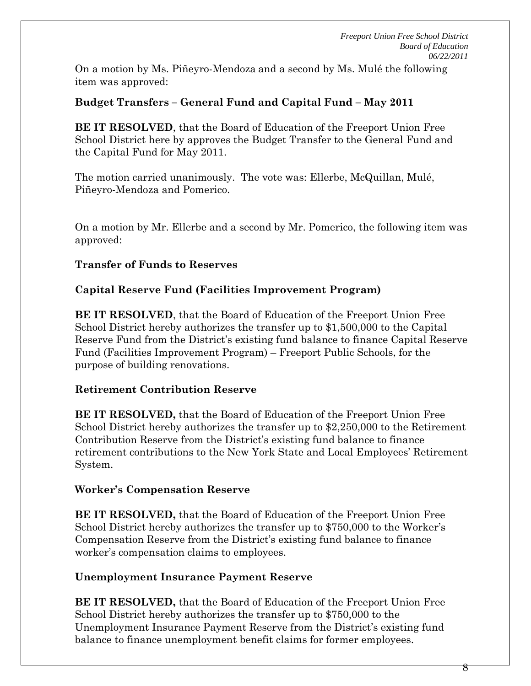On a motion by Ms. Piñeyro-Mendoza and a second by Ms. Mulé the following item was approved:

# **Budget Transfers – General Fund and Capital Fund – May 2011**

**BE IT RESOLVED**, that the Board of Education of the Freeport Union Free School District here by approves the Budget Transfer to the General Fund and the Capital Fund for May 2011.

The motion carried unanimously. The vote was: Ellerbe, McQuillan, Mulé, Piñeyro-Mendoza and Pomerico.

On a motion by Mr. Ellerbe and a second by Mr. Pomerico, the following item was approved:

## **Transfer of Funds to Reserves**

# **Capital Reserve Fund (Facilities Improvement Program)**

**BE IT RESOLVED**, that the Board of Education of the Freeport Union Free School District hereby authorizes the transfer up to \$1,500,000 to the Capital Reserve Fund from the District's existing fund balance to finance Capital Reserve Fund (Facilities Improvement Program) – Freeport Public Schools, for the purpose of building renovations.

## **Retirement Contribution Reserve**

**BE IT RESOLVED,** that the Board of Education of the Freeport Union Free School District hereby authorizes the transfer up to \$2,250,000 to the Retirement Contribution Reserve from the District's existing fund balance to finance retirement contributions to the New York State and Local Employees' Retirement System.

## **Worker's Compensation Reserve**

**BE IT RESOLVED,** that the Board of Education of the Freeport Union Free School District hereby authorizes the transfer up to \$750,000 to the Worker's Compensation Reserve from the District's existing fund balance to finance worker's compensation claims to employees.

# **Unemployment Insurance Payment Reserve**

**BE IT RESOLVED,** that the Board of Education of the Freeport Union Free School District hereby authorizes the transfer up to \$750,000 to the Unemployment Insurance Payment Reserve from the District's existing fund balance to finance unemployment benefit claims for former employees.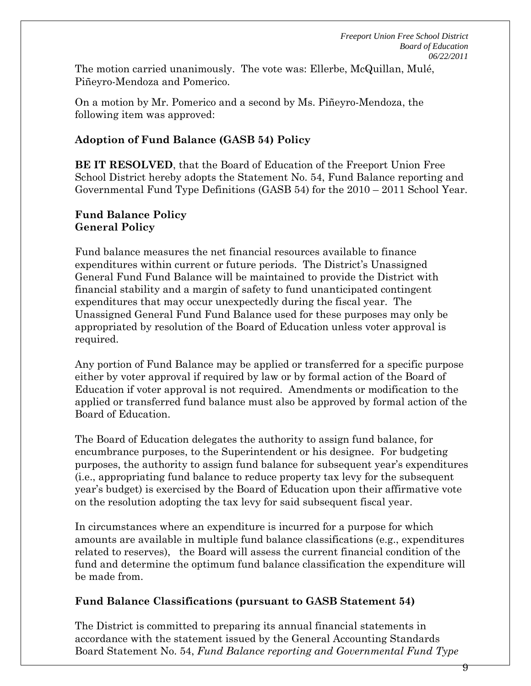The motion carried unanimously. The vote was: Ellerbe, McQuillan, Mulé, Piñeyro-Mendoza and Pomerico.

On a motion by Mr. Pomerico and a second by Ms. Piñeyro-Mendoza, the following item was approved:

# **Adoption of Fund Balance (GASB 54) Policy**

**BE IT RESOLVED**, that the Board of Education of the Freeport Union Free School District hereby adopts the Statement No. 54, Fund Balance reporting and Governmental Fund Type Definitions (GASB 54) for the 2010 – 2011 School Year.

## **Fund Balance Policy General Policy**

Fund balance measures the net financial resources available to finance expenditures within current or future periods. The District's Unassigned General Fund Fund Balance will be maintained to provide the District with financial stability and a margin of safety to fund unanticipated contingent expenditures that may occur unexpectedly during the fiscal year. The Unassigned General Fund Fund Balance used for these purposes may only be appropriated by resolution of the Board of Education unless voter approval is required.

Any portion of Fund Balance may be applied or transferred for a specific purpose either by voter approval if required by law or by formal action of the Board of Education if voter approval is not required. Amendments or modification to the applied or transferred fund balance must also be approved by formal action of the Board of Education.

The Board of Education delegates the authority to assign fund balance, for encumbrance purposes, to the Superintendent or his designee. For budgeting purposes, the authority to assign fund balance for subsequent year's expenditures (i.e., appropriating fund balance to reduce property tax levy for the subsequent year's budget) is exercised by the Board of Education upon their affirmative vote on the resolution adopting the tax levy for said subsequent fiscal year.

In circumstances where an expenditure is incurred for a purpose for which amounts are available in multiple fund balance classifications (e.g., expenditures related to reserves), the Board will assess the current financial condition of the fund and determine the optimum fund balance classification the expenditure will be made from.

## **Fund Balance Classifications (pursuant to GASB Statement 54)**

The District is committed to preparing its annual financial statements in accordance with the statement issued by the General Accounting Standards Board Statement No. 54, *Fund Balance reporting and Governmental Fund Type*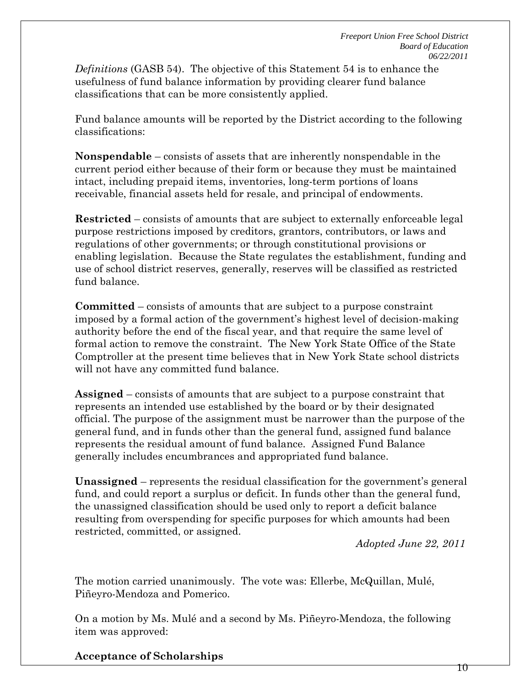*Definitions* (GASB 54). The objective of this Statement 54 is to enhance the usefulness of fund balance information by providing clearer fund balance classifications that can be more consistently applied.

Fund balance amounts will be reported by the District according to the following classifications:

**Nonspendable** – consists of assets that are inherently nonspendable in the current period either because of their form or because they must be maintained intact, including prepaid items, inventories, long-term portions of loans receivable, financial assets held for resale, and principal of endowments.

**Restricted** – consists of amounts that are subject to externally enforceable legal purpose restrictions imposed by creditors, grantors, contributors, or laws and regulations of other governments; or through constitutional provisions or enabling legislation. Because the State regulates the establishment, funding and use of school district reserves, generally, reserves will be classified as restricted fund balance.

**Committed** – consists of amounts that are subject to a purpose constraint imposed by a formal action of the government's highest level of decision-making authority before the end of the fiscal year, and that require the same level of formal action to remove the constraint. The New York State Office of the State Comptroller at the present time believes that in New York State school districts will not have any committed fund balance.

**Assigned** – consists of amounts that are subject to a purpose constraint that represents an intended use established by the board or by their designated official. The purpose of the assignment must be narrower than the purpose of the general fund, and in funds other than the general fund, assigned fund balance represents the residual amount of fund balance. Assigned Fund Balance generally includes encumbrances and appropriated fund balance.

**Unassigned** – represents the residual classification for the government's general fund, and could report a surplus or deficit. In funds other than the general fund, the unassigned classification should be used only to report a deficit balance resulting from overspending for specific purposes for which amounts had been restricted, committed, or assigned.

*Adopted June 22, 2011* 

The motion carried unanimously. The vote was: Ellerbe, McQuillan, Mulé, Piñeyro-Mendoza and Pomerico.

On a motion by Ms. Mulé and a second by Ms. Piñeyro-Mendoza, the following item was approved:

**Acceptance of Scholarships**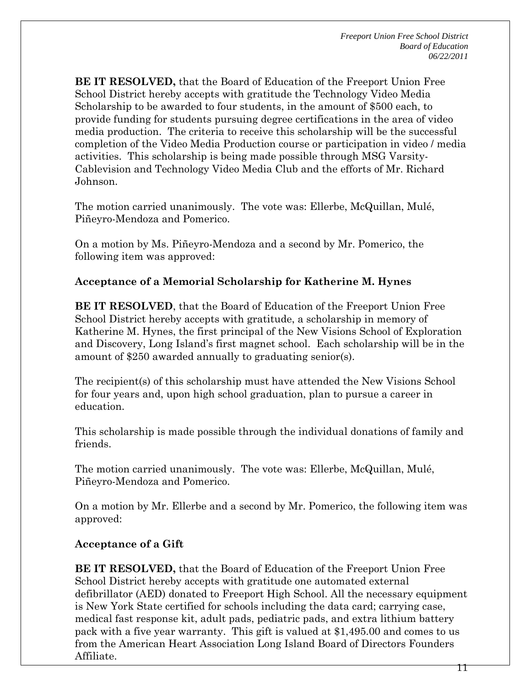**BE IT RESOLVED,** that the Board of Education of the Freeport Union Free School District hereby accepts with gratitude the Technology Video Media Scholarship to be awarded to four students, in the amount of \$500 each, to provide funding for students pursuing degree certifications in the area of video media production. The criteria to receive this scholarship will be the successful completion of the Video Media Production course or participation in video / media activities. This scholarship is being made possible through MSG Varsity-Cablevision and Technology Video Media Club and the efforts of Mr. Richard Johnson.

The motion carried unanimously. The vote was: Ellerbe, McQuillan, Mulé, Piñeyro-Mendoza and Pomerico.

On a motion by Ms. Piñeyro-Mendoza and a second by Mr. Pomerico, the following item was approved:

### **Acceptance of a Memorial Scholarship for Katherine M. Hynes**

**BE IT RESOLVED**, that the Board of Education of the Freeport Union Free School District hereby accepts with gratitude, a scholarship in memory of Katherine M. Hynes, the first principal of the New Visions School of Exploration and Discovery, Long Island's first magnet school. Each scholarship will be in the amount of \$250 awarded annually to graduating senior(s).

The recipient(s) of this scholarship must have attended the New Visions School for four years and, upon high school graduation, plan to pursue a career in education.

This scholarship is made possible through the individual donations of family and friends.

The motion carried unanimously. The vote was: Ellerbe, McQuillan, Mulé, Piñeyro-Mendoza and Pomerico.

On a motion by Mr. Ellerbe and a second by Mr. Pomerico, the following item was approved:

### **Acceptance of a Gift**

**BE IT RESOLVED,** that the Board of Education of the Freeport Union Free School District hereby accepts with gratitude one automated external defibrillator (AED) donated to Freeport High School. All the necessary equipment is New York State certified for schools including the data card; carrying case, medical fast response kit, adult pads, pediatric pads, and extra lithium battery pack with a five year warranty. This gift is valued at \$1,495.00 and comes to us from the American Heart Association Long Island Board of Directors Founders Affiliate.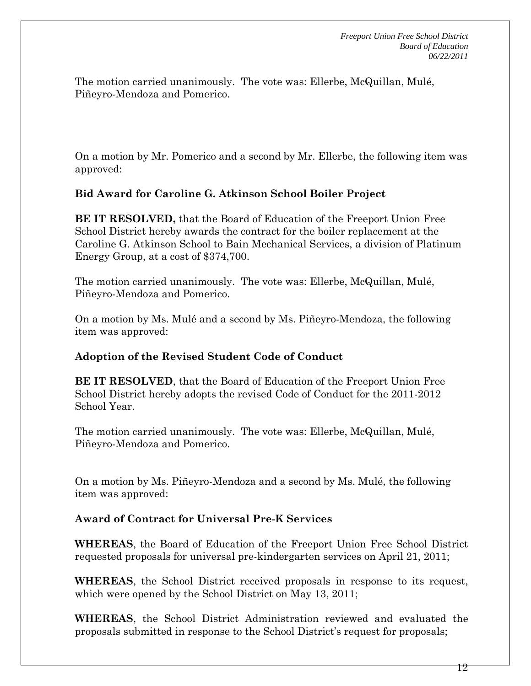The motion carried unanimously. The vote was: Ellerbe, McQuillan, Mulé, Piñeyro-Mendoza and Pomerico.

On a motion by Mr. Pomerico and a second by Mr. Ellerbe, the following item was approved:

### **Bid Award for Caroline G. Atkinson School Boiler Project**

**BE IT RESOLVED,** that the Board of Education of the Freeport Union Free School District hereby awards the contract for the boiler replacement at the Caroline G. Atkinson School to Bain Mechanical Services, a division of Platinum Energy Group, at a cost of \$374,700.

The motion carried unanimously. The vote was: Ellerbe, McQuillan, Mulé, Piñeyro-Mendoza and Pomerico.

On a motion by Ms. Mulé and a second by Ms. Piñeyro-Mendoza, the following item was approved:

### **Adoption of the Revised Student Code of Conduct**

**BE IT RESOLVED**, that the Board of Education of the Freeport Union Free School District hereby adopts the revised Code of Conduct for the 2011-2012 School Year.

The motion carried unanimously. The vote was: Ellerbe, McQuillan, Mulé, Piñeyro-Mendoza and Pomerico.

On a motion by Ms. Piñeyro-Mendoza and a second by Ms. Mulé, the following item was approved:

### **Award of Contract for Universal Pre-K Services**

**WHEREAS**, the Board of Education of the Freeport Union Free School District requested proposals for universal pre-kindergarten services on April 21, 2011;

**WHEREAS**, the School District received proposals in response to its request, which were opened by the School District on May 13, 2011;

**WHEREAS**, the School District Administration reviewed and evaluated the proposals submitted in response to the School District's request for proposals;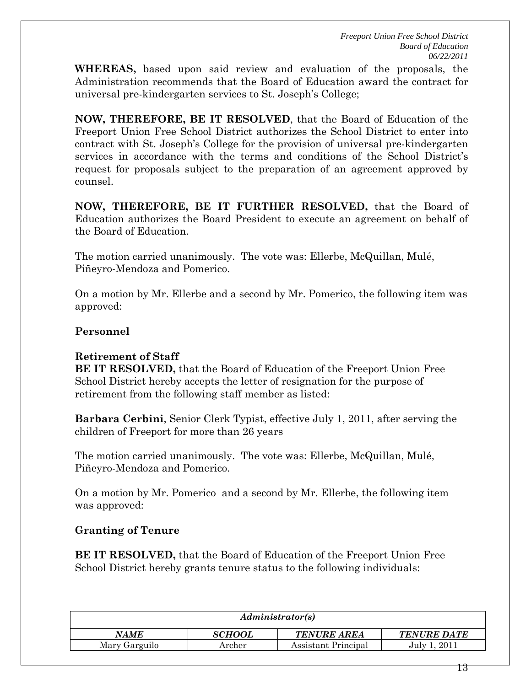**WHEREAS,** based upon said review and evaluation of the proposals, the Administration recommends that the Board of Education award the contract for universal pre-kindergarten services to St. Joseph's College;

**NOW, THEREFORE, BE IT RESOLVED**, that the Board of Education of the Freeport Union Free School District authorizes the School District to enter into contract with St. Joseph's College for the provision of universal pre-kindergarten services in accordance with the terms and conditions of the School District's request for proposals subject to the preparation of an agreement approved by counsel.

**NOW, THEREFORE, BE IT FURTHER RESOLVED,** that the Board of Education authorizes the Board President to execute an agreement on behalf of the Board of Education.

The motion carried unanimously. The vote was: Ellerbe, McQuillan, Mulé, Piñeyro-Mendoza and Pomerico.

On a motion by Mr. Ellerbe and a second by Mr. Pomerico, the following item was approved:

### **Personnel**

### **Retirement of Staff**

**BE IT RESOLVED,** that the Board of Education of the Freeport Union Free School District hereby accepts the letter of resignation for the purpose of retirement from the following staff member as listed:

**Barbara Cerbini**, Senior Clerk Typist, effective July 1, 2011, after serving the children of Freeport for more than 26 years

The motion carried unanimously. The vote was: Ellerbe, McQuillan, Mulé, Piñeyro-Mendoza and Pomerico.

On a motion by Mr. Pomerico and a second by Mr. Ellerbe, the following item was approved:

## **Granting of Tenure**

**BE IT RESOLVED,** that the Board of Education of the Freeport Union Free School District hereby grants tenure status to the following individuals:

| Administrator(s) |               |                     |                    |
|------------------|---------------|---------------------|--------------------|
| <b>NAME</b>      | <b>SCHOOL</b> | <b>TENURE AREA</b>  | <b>TENURE DATE</b> |
| Mary Garguilo    | Archer        | Assistant Principal | July 1, 2011       |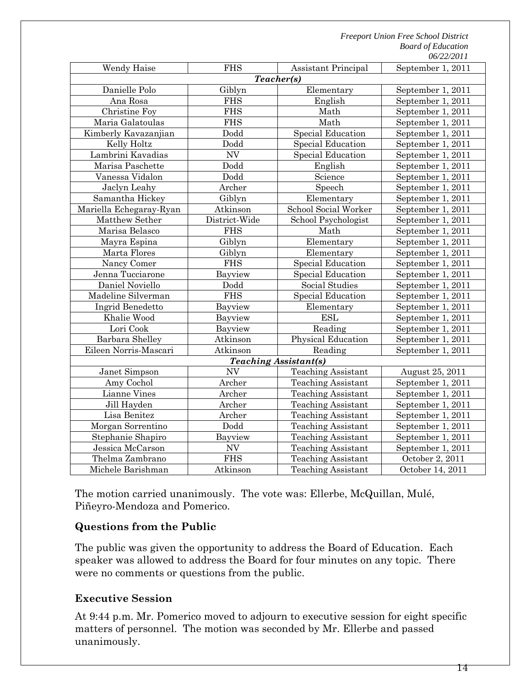*Freeport Union Free School District Board of Education 06/22/2011* 

| Wendy Haise                  | <b>FHS</b>               | Assistant Principal       | September 1, 2011 |  |
|------------------------------|--------------------------|---------------------------|-------------------|--|
| Teacher(s)                   |                          |                           |                   |  |
| Danielle Polo                | Giblyn                   | Elementary                | September 1, 2011 |  |
| Ana Rosa                     | <b>FHS</b>               | English                   | September 1, 2011 |  |
| Christine Foy                | <b>FHS</b>               | Math                      | September 1, 2011 |  |
| Maria Galatoulas             | <b>FHS</b>               | Math                      | September 1, 2011 |  |
| Kimberly Kavazanjian         | Dodd                     | Special Education         | September 1, 2011 |  |
| Kelly Holtz                  | Dodd                     | Special Education         | September 1, 2011 |  |
| Lambrini Kavadias            | <b>NV</b>                | Special Education         | September 1, 2011 |  |
| Marisa Paschette             | Dodd                     | English                   | September 1, 2011 |  |
| Vanessa Vidalon              | Dodd                     | Science                   | September 1, 2011 |  |
| Jaclyn Leahy                 | Archer                   | Speech                    | September 1, 2011 |  |
| Samantha Hickey              | Giblyn                   | Elementary                | September 1, 2011 |  |
| Mariella Echegaray-Ryan      | Atkinson                 | School Social Worker      | September 1, 2011 |  |
| Matthew Sether               | District-Wide            | School Psychologist       | September 1, 2011 |  |
| Marisa Belasco               | <b>FHS</b>               | Math                      | September 1, 2011 |  |
| Mayra Espina                 | Giblyn                   | Elementary                | September 1, 2011 |  |
| Marta Flores                 | Giblyn                   | Elementary                | September 1, 2011 |  |
| Nancy Comer                  | <b>FHS</b>               | Special Education         | September 1, 2011 |  |
| Jenna Tucciarone             | Bayview                  | Special Education         | September 1, 2011 |  |
| Daniel Noviello              | Dodd                     | Social Studies            | September 1, 2011 |  |
| Madeline Silverman           | <b>FHS</b>               | <b>Special Education</b>  | September 1, 2011 |  |
| Ingrid Benedetto             | Bayview                  | Elementary                | September 1, 2011 |  |
| Khalie Wood                  | Bayview                  | <b>ESL</b>                | September 1, 2011 |  |
| Lori Cook                    | Bayview                  | Reading                   | September 1, 2011 |  |
| Barbara Shelley              | Atkinson                 | Physical Education        | September 1, 2011 |  |
| Eileen Norris-Mascari        | Atkinson                 | Reading                   | September 1, 2011 |  |
| <b>Teaching Assistant(s)</b> |                          |                           |                   |  |
| Janet Simpson                | NV                       | <b>Teaching Assistant</b> | August 25, 2011   |  |
| Amy Cochol                   | Archer                   | <b>Teaching Assistant</b> | September 1, 2011 |  |
| Lianne Vines                 | Archer                   | <b>Teaching Assistant</b> | September 1, 2011 |  |
| Jill Hayden                  | Archer                   | <b>Teaching Assistant</b> | September 1, 2011 |  |
| Lisa Benitez                 | Archer                   | <b>Teaching Assistant</b> | September 1, 2011 |  |
| Morgan Sorrentino            | Dodd                     | <b>Teaching Assistant</b> | September 1, 2011 |  |
| Stephanie Shapiro            | Bayview                  | <b>Teaching Assistant</b> | September 1, 2011 |  |
| Jessica McCarson             | $\ensuremath{\text{NV}}$ | <b>Teaching Assistant</b> | September 1, 2011 |  |
| Thelma Zambrano              | <b>FHS</b>               | <b>Teaching Assistant</b> | October 2, 2011   |  |
| Michele Barishman            | Atkinson                 | <b>Teaching Assistant</b> | October 14, 2011  |  |

The motion carried unanimously. The vote was: Ellerbe, McQuillan, Mulé, Piñeyro-Mendoza and Pomerico.

### **Questions from the Public**

The public was given the opportunity to address the Board of Education. Each speaker was allowed to address the Board for four minutes on any topic. There were no comments or questions from the public.

### **Executive Session**

At 9:44 p.m. Mr. Pomerico moved to adjourn to executive session for eight specific matters of personnel. The motion was seconded by Mr. Ellerbe and passed unanimously.